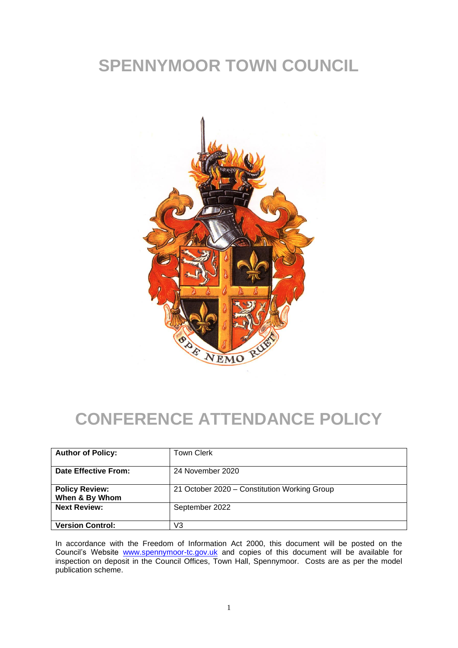## **SPENNYMOOR TOWN COUNCIL**



## **CONFERENCE ATTENDANCE POLICY**

| <b>Author of Policy:</b>                | <b>Town Clerk</b>                            |
|-----------------------------------------|----------------------------------------------|
| Date Effective From:                    | 24 November 2020                             |
| <b>Policy Review:</b><br>When & By Whom | 21 October 2020 – Constitution Working Group |
| <b>Next Review:</b>                     | September 2022                               |
| <b>Version Control:</b>                 | V3                                           |

In accordance with the Freedom of Information Act 2000, this document will be posted on the Council's Website [www.spennymoor-tc.gov.uk](http://www.spennymoor-tc.gov.uk/) and copies of this document will be available for inspection on deposit in the Council Offices, Town Hall, Spennymoor. Costs are as per the model publication scheme.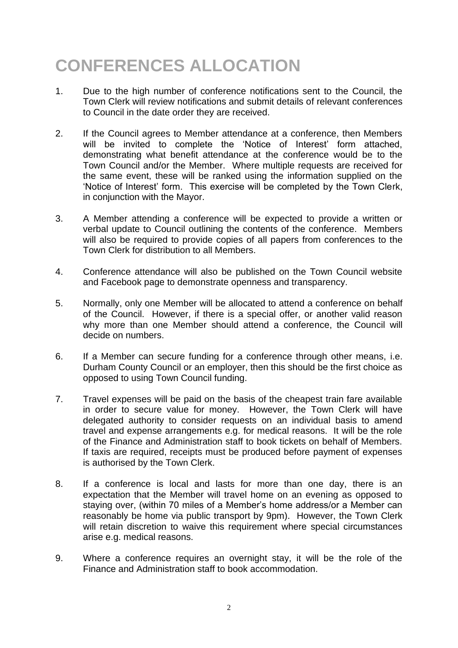## **CONFERENCES ALLOCATION**

- 1. Due to the high number of conference notifications sent to the Council, the Town Clerk will review notifications and submit details of relevant conferences to Council in the date order they are received.
- 2. If the Council agrees to Member attendance at a conference, then Members will be invited to complete the 'Notice of Interest' form attached, demonstrating what benefit attendance at the conference would be to the Town Council and/or the Member. Where multiple requests are received for the same event, these will be ranked using the information supplied on the 'Notice of Interest' form. This exercise will be completed by the Town Clerk, in conjunction with the Mayor.
- 3. A Member attending a conference will be expected to provide a written or verbal update to Council outlining the contents of the conference. Members will also be required to provide copies of all papers from conferences to the Town Clerk for distribution to all Members.
- 4. Conference attendance will also be published on the Town Council website and Facebook page to demonstrate openness and transparency.
- 5. Normally, only one Member will be allocated to attend a conference on behalf of the Council. However, if there is a special offer, or another valid reason why more than one Member should attend a conference, the Council will decide on numbers.
- 6. If a Member can secure funding for a conference through other means, i.e. Durham County Council or an employer, then this should be the first choice as opposed to using Town Council funding.
- 7. Travel expenses will be paid on the basis of the cheapest train fare available in order to secure value for money. However, the Town Clerk will have delegated authority to consider requests on an individual basis to amend travel and expense arrangements e.g. for medical reasons. It will be the role of the Finance and Administration staff to book tickets on behalf of Members. If taxis are required, receipts must be produced before payment of expenses is authorised by the Town Clerk.
- 8. If a conference is local and lasts for more than one day, there is an expectation that the Member will travel home on an evening as opposed to staying over, (within 70 miles of a Member's home address/or a Member can reasonably be home via public transport by 9pm). However, the Town Clerk will retain discretion to waive this requirement where special circumstances arise e.g. medical reasons.
- 9. Where a conference requires an overnight stay, it will be the role of the Finance and Administration staff to book accommodation.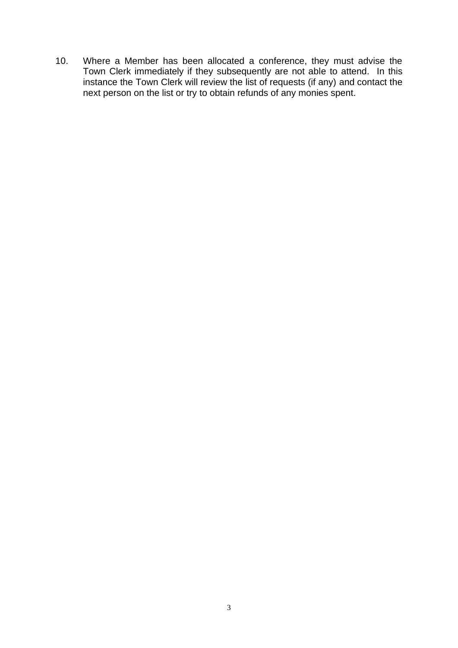10. Where a Member has been allocated a conference, they must advise the Town Clerk immediately if they subsequently are not able to attend. In this instance the Town Clerk will review the list of requests (if any) and contact the next person on the list or try to obtain refunds of any monies spent.